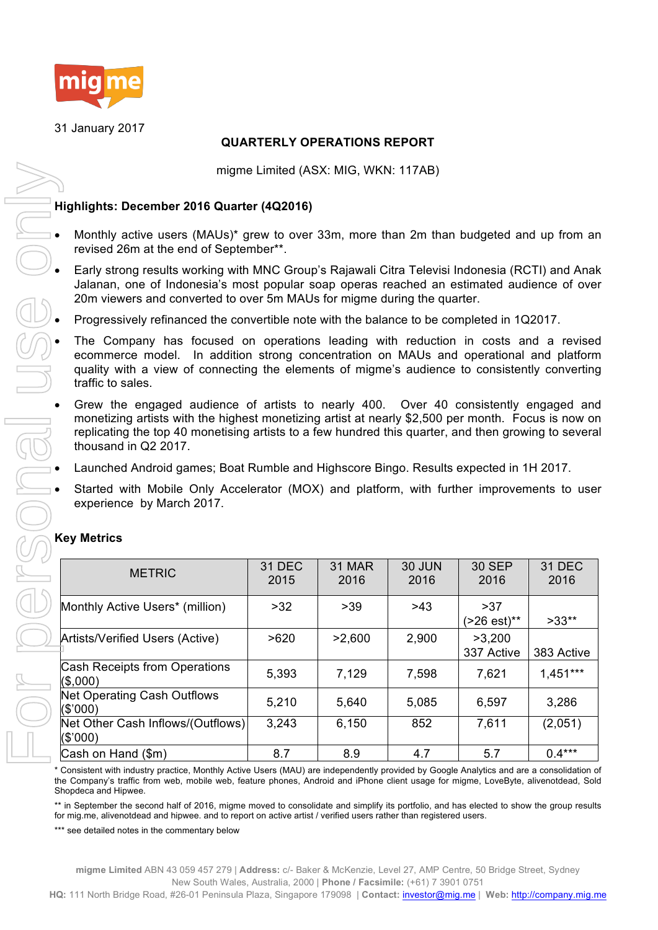

31 January 2017

# **QUARTERLY OPERATIONS REPORT**

## **Highlights: December 2016 Quarter (4Q2016)**

- Monthly active users (MAUs)\* grew to over 33m, more than 2m than budgeted and up from an revised 26m at the end of September\*\*.
- Early strong results working with MNC Group's Rajawali Citra Televisi Indonesia (RCTI) and Anak Jalanan, one of Indonesia's most popular soap operas reached an estimated audience of over 20m viewers and converted to over 5m MAUs for migme during the quarter.
- Progressively refinanced the convertible note with the balance to be completed in 1Q2017.
- The Company has focused on operations leading with reduction in costs and a revised ecommerce model. In addition strong concentration on MAUs and operational and platform quality with a view of connecting the elements of migme's audience to consistently converting traffic to sales.
- Grew the engaged audience of artists to nearly 400. Over 40 consistently engaged and monetizing artists with the highest monetizing artist at nearly \$2,500 per month. Focus is now on replicating the top 40 monetising artists to a few hundred this quarter, and then growing to several thousand in Q2 2017.
- Launched Android games; Boat Rumble and Highscore Bingo. Results expected in 1H 2017.
- Started with Mobile Only Accelerator (MOX) and platform, with further improvements to user experience by March 2017.

| <b>Key Metrics</b> |  |
|--------------------|--|
|--------------------|--|

| migme Limited (ASX: MIG, WKN: 117AB)                                                                                                                                                                                                                                                                                      |                       |                |                       |                      |                       |  |  |
|---------------------------------------------------------------------------------------------------------------------------------------------------------------------------------------------------------------------------------------------------------------------------------------------------------------------------|-----------------------|----------------|-----------------------|----------------------|-----------------------|--|--|
| Highlights: December 2016 Quarter (4Q2016)                                                                                                                                                                                                                                                                                |                       |                |                       |                      |                       |  |  |
| Monthly active users (MAUs)* grew to over 33m, more than 2m than budgeted and up from ar<br>revised 26m at the end of September**.                                                                                                                                                                                        |                       |                |                       |                      |                       |  |  |
| Early strong results working with MNC Group's Rajawali Citra Televisi Indonesia (RCTI) and Anak<br>Jalanan, one of Indonesia's most popular soap operas reached an estimated audience of over<br>20m viewers and converted to over 5m MAUs for migme during the quarter.                                                  |                       |                |                       |                      |                       |  |  |
| Progressively refinanced the convertible note with the balance to be completed in 1Q2017.                                                                                                                                                                                                                                 |                       |                |                       |                      |                       |  |  |
| The Company has focused on operations leading with reduction in costs and a revised<br>ecommerce model. In addition strong concentration on MAUs and operational and platform<br>quality with a view of connecting the elements of migme's audience to consistently converting<br>traffic to sales.                       |                       |                |                       |                      |                       |  |  |
| Grew the engaged audience of artists to nearly 400. Over 40 consistently engaged and<br>monetizing artists with the highest monetizing artist at nearly \$2,500 per month. Focus is now or<br>replicating the top 40 monetising artists to a few hundred this quarter, and then growing to severa<br>thousand in Q2 2017. |                       |                |                       |                      |                       |  |  |
| Launched Android games; Boat Rumble and Highscore Bingo. Results expected in 1H 2017.                                                                                                                                                                                                                                     |                       |                |                       |                      |                       |  |  |
| Started with Mobile Only Accelerator (MOX) and platform, with further improvements to use<br>experience by March 2017.<br><b>Key Metrics</b>                                                                                                                                                                              |                       |                |                       |                      |                       |  |  |
| <b>METRIC</b>                                                                                                                                                                                                                                                                                                             | <b>31 DEC</b><br>2015 | 31 MAR<br>2016 | <b>30 JUN</b><br>2016 | 30 SEP<br>2016       | <b>31 DEC</b><br>2016 |  |  |
| Monthly Active Users* (million)                                                                                                                                                                                                                                                                                           | $>32$                 | $>39$          | >43                   | >37<br>(>26 est)**   | $>33**$               |  |  |
| Artists/Verified Users (Active)                                                                                                                                                                                                                                                                                           | >620                  | >2,600         | 2,900                 | >3,200<br>337 Active | 383 Active            |  |  |
| <b>Cash Receipts from Operations</b><br>(\$,000)                                                                                                                                                                                                                                                                          | 5,393                 | 7,129          | 7,598                 | 7,621                | $1,451***$            |  |  |
| <b>Net Operating Cash Outflows</b><br>(S'000)                                                                                                                                                                                                                                                                             | 5,210                 | 5,640          | 5,085                 | 6,597                | 3,286                 |  |  |
| Net Other Cash Inflows/(Outflows)<br>(\$'000)                                                                                                                                                                                                                                                                             | 3,243                 | 6,150          | 852                   | 7,611                | (2,051)               |  |  |
| Cash on Hand (\$m)                                                                                                                                                                                                                                                                                                        | 8.7                   | 8.9            | 4.7                   | 5.7                  | $0.4***$              |  |  |
| * Consistent with industry practice, Monthly Active Users (MAU) are independently provided by Google Analytics and are a consolidation o<br>the Company's traffic from web, mobile web, feature phones, Android and iPhone client usage for migme, LoveByte, alivenotdead, Solo<br>Shopdeca and Hipwee.                   |                       |                |                       |                      |                       |  |  |
| ** in September the second half of 2016, migme moved to consolidate and simplify its portfolio, and has elected to show the group results<br>for mig.me, alivenotdead and hipwee. and to report on active artist / verified users rather than registered users.<br>*** see detailed notes in the commentary below         |                       |                |                       |                      |                       |  |  |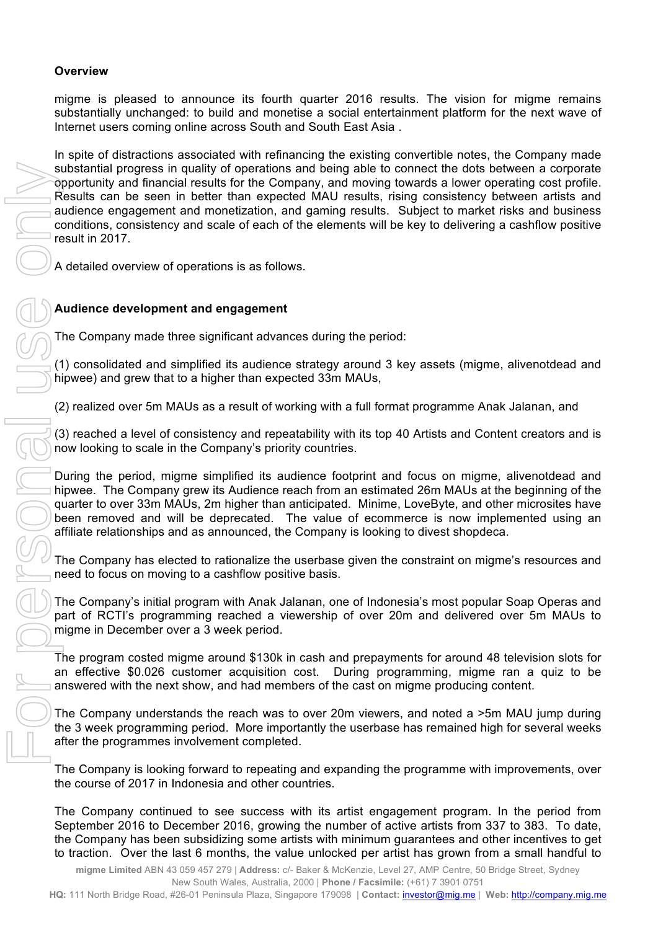# **Overview**

migme is pleased to announce its fourth quarter 2016 results. The vision for migme remains substantially unchanged: to build and monetise a social entertainment platform for the next wave of Internet users coming online across South and South East Asia .

In spite of distractions associated with refinancing the existing convertible notes, the Company made substantial progress in quality of operations and being able to connect the dots between a corporate opportunity and financial results for the Company, and moving towards a lower operating cost profile. Results can be seen in better than expected MAU results, rising consistency between artists and audience engagement and monetization, and gaming results. Subject to market risks and business conditions, consistency and scale of each of the elements will be key to delivering a cashflow positive result in 2017. to the month of the month of the component of the component of the component of the component and the component and contents of the component and contents of the component and contents of the component and contents of the

A detailed overview of operations is as follows.

# **Audience development and engagement**

The Company made three significant advances during the period:

(1) consolidated and simplified its audience strategy around 3 key assets (migme, alivenotdead and hipwee) and grew that to a higher than expected 33m MAUs,

(2) realized over 5m MAUs as a result of working with a full format programme Anak Jalanan, and

(3) reached a level of consistency and repeatability with its top 40 Artists and Content creators and is now looking to scale in the Company's priority countries.

During the period, migme simplified its audience footprint and focus on migme, alivenotdead and hipwee. The Company grew its Audience reach from an estimated 26m MAUs at the beginning of the quarter to over 33m MAUs, 2m higher than anticipated. Minime, LoveByte, and other microsites have been removed and will be deprecated. The value of ecommerce is now implemented using an affiliate relationships and as announced, the Company is looking to divest shopdeca.

The Company has elected to rationalize the userbase given the constraint on migme's resources and need to focus on moving to a cashflow positive basis.

The Company's initial program with Anak Jalanan, one of Indonesia's most popular Soap Operas and part of RCTI's programming reached a viewership of over 20m and delivered over 5m MAUs to migme in December over a 3 week period.

The program costed migme around \$130k in cash and prepayments for around 48 television slots for an effective \$0.026 customer acquisition cost. During programming, migme ran a quiz to be answered with the next show, and had members of the cast on migme producing content.

The Company understands the reach was to over 20m viewers, and noted a >5m MAU jump during the 3 week programming period. More importantly the userbase has remained high for several weeks after the programmes involvement completed.

The Company is looking forward to repeating and expanding the programme with improvements, over the course of 2017 in Indonesia and other countries.

The Company continued to see success with its artist engagement program. In the period from September 2016 to December 2016, growing the number of active artists from 337 to 383. To date, the Company has been subsidizing some artists with minimum guarantees and other incentives to get

**migme Limited** ABN 43 059 457 279 | **Address:** c/- Baker & McKenzie, Level 27, AMP Centre, 50 Bridge Street, Sydney New South Wales, Australia, 2000 | **Phone / Facsimile:** (+61) 7 3901 0751

**HQ:** 111 North Bridge Road, #26-01 Peninsula Plaza, Singapore 179098 | **Contact:** investor@mig.me | **Web:** http://company.mig.me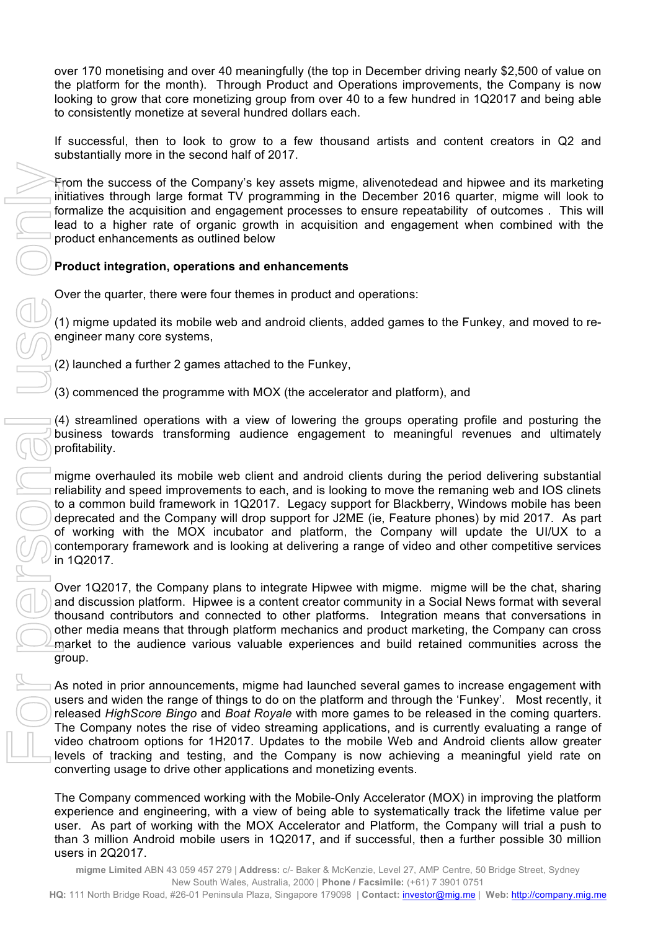over 170 monetising and over 40 meaningfully (the top in December driving nearly \$2,500 of value on the platform for the month). Through Product and Operations improvements, the Company is now looking to grow that core monetizing group from over 40 to a few hundred in 1Q2017 and being able to consistently monetize at several hundred dollars each.

If successful, then to look to grow to a few thousand artists and content creators in Q2 and substantially more in the second half of 2017.

From the success of the Company's key assets migme, alivenotedead and hipwee and its marketing initiatives through large format TV programming in the December 2016 quarter, migme will look to formalize the acquisition and engagement processes to ensure repeatability of outcomes . This will lead to a higher rate of organic growth in acquisition and engagement when combined with the product enhancements as outlined below

# **Product integration, operations and enhancements**

Over the quarter, there were four themes in product and operations:

(1) migme updated its mobile web and android clients, added games to the Funkey, and moved to reengineer many core systems,

(2) launched a further 2 games attached to the Funkey,

(3) commenced the programme with MOX (the accelerator and platform), and

(4) streamlined operations with a view of lowering the groups operating profile and posturing the business towards transforming audience engagement to meaningful revenues and ultimately profitability.

migme overhauled its mobile web client and android clients during the period delivering substantial reliability and speed improvements to each, and is looking to move the remaning web and IOS clinets to a common build framework in 1Q2017. Legacy support for Blackberry, Windows mobile has been deprecated and the Company will drop support for J2ME (ie, Feature phones) by mid 2017. As part of working with the MOX incubator and platform, the Company will update the UI/UX to a contemporary framework and is looking at delivering a range of video and other competitive services in 1Q2017.

Over 1Q2017, the Company plans to integrate Hipwee with migme. migme will be the chat, sharing and discussion platform. Hipwee is a content creator community in a Social News format with several thousand contributors and connected to other platforms. Integration means that conversations in other media means that through platform mechanics and product marketing, the Company can cross market to the audience various valuable experiences and build retained communities across the group.

As noted in prior announcements, migme had launched several games to increase engagement with users and widen the range of things to do on the platform and through the 'Funkey'. Most recently, it released *HighScore Bingo* and *Boat Royale* with more games to be released in the coming quarters. The Company notes the rise of video streaming applications, and is currently evaluating a range of video chatroom options for 1H2017. Updates to the mobile Web and Android clients allow greater levels of tracking and testing, and the Company is now achieving a meaningful yield rate on converting usage to drive other applications and monetizing events.

The Company commenced working with the Mobile-Only Accelerator (MOX) in improving the platform experience and engineering, with a view of being able to systematically track the lifetime value per user. As part of working with the MOX Accelerator and Platform, the Company will trial a push to than 3 million Android mobile users in 1Q2017, and if successful, then a further possible 30 million

**migme Limited** ABN 43 059 457 279 | **Address:** c/- Baker & McKenzie, Level 27, AMP Centre, 50 Bridge Street, Sydney New South Wales, Australia, 2000 | **Phone / Facsimile:** (+61) 7 3901 0751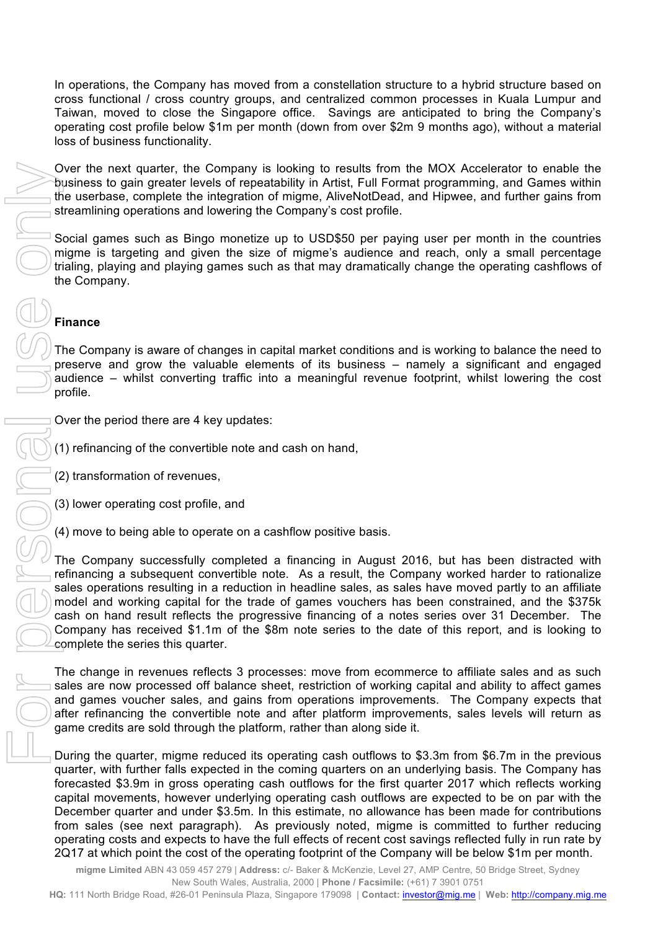In operations, the Company has moved from a constellation structure to a hybrid structure based on cross functional / cross country groups, and centralized common processes in Kuala Lumpur and Taiwan, moved to close the Singapore office. Savings are anticipated to bring the Company's operating cost profile below \$1m per month (down from over \$2m 9 months ago), without a material loss of business functionality.

Over the next quarter, the Company is looking to results from the MOX Accelerator to enable the business to gain greater levels of repeatability in Artist, Full Format programming, and Games within the userbase, complete the integration of migme, AliveNotDead, and Hipwee, and further gains from streamlining operations and lowering the Company's cost profile.

Social games such as Bingo monetize up to USD\$50 per paying user per month in the countries migme is targeting and given the size of migme's audience and reach, only a small percentage trialing, playing and playing games such as that may dramatically change the operating cashflows of the Company.

# **Finance**

The Company is aware of changes in capital market conditions and is working to balance the need to preserve and grow the valuable elements of its business – namely a significant and engaged audience – whilst converting traffic into a meaningful revenue footprint, whilst lowering the cost profile.

Over the period there are 4 key updates:

(1) refinancing of the convertible note and cash on hand,

(2) transformation of revenues,

(3) lower operating cost profile, and

(4) move to being able to operate on a cashflow positive basis.

The Company successfully completed a financing in August 2016, but has been distracted with refinancing a subsequent convertible note. As a result, the Company worked harder to rationalize sales operations resulting in a reduction in headline sales, as sales have moved partly to an affiliate model and working capital for the trade of games vouchers has been constrained, and the \$375k cash on hand result reflects the progressive financing of a notes series over 31 December. The Company has received \$1.1m of the \$8m note series to the date of this report, and is looking to complete the series this quarter.

The change in revenues reflects 3 processes: move from ecommerce to affiliate sales and as such sales are now processed off balance sheet, restriction of working capital and ability to affect games and games voucher sales, and gains from operations improvements. The Company expects that after refinancing the convertible note and after platform improvements, sales levels will return as game credits are sold through the platform, rather than along side it.

During the quarter, migme reduced its operating cash outflows to \$3.3m from \$6.7m in the previous quarter, with further falls expected in the coming quarters on an underlying basis. The Company has forecasted \$3.9m in gross operating cash outflows for the first quarter 2017 which reflects working capital movements, however underlying operating cash outflows are expected to be on par with the December quarter and under \$3.5m. In this estimate, no allowance has been made for contributions from sales (see next paragraph). As previously noted, migme is committed to further reducing operating costs and expects to have the full effects of recent cost savings reflected fully in run rate by Cover the person control is company is to control in the NOS Acceleration to enable<br>
This use the point of the cost of the cost of the operating for the operating for the company and the company and the company at the comp

> **migme Limited** ABN 43 059 457 279 | **Address:** c/- Baker & McKenzie, Level 27, AMP Centre, 50 Bridge Street, Sydney New South Wales, Australia, 2000 | **Phone / Facsimile:** (+61) 7 3901 0751

**HQ:** 111 North Bridge Road, #26-01 Peninsula Plaza, Singapore 179098 | **Contact:** investor@mig.me | **Web:** http://company.mig.me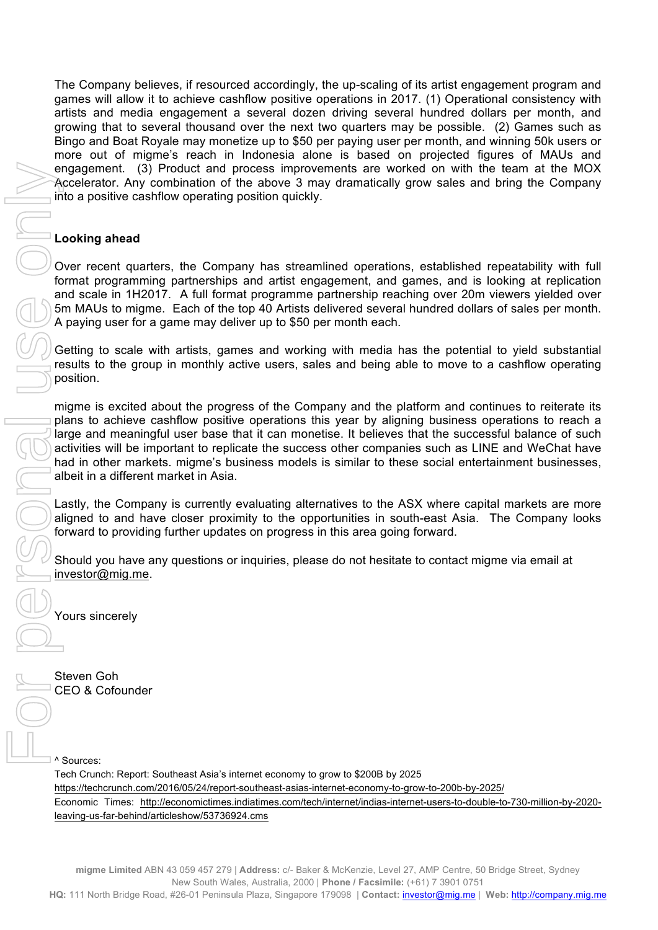The Company believes, if resourced accordingly, the up-scaling of its artist engagement program and games will allow it to achieve cashflow positive operations in 2017. (1) Operational consistency with artists and media engagement a several dozen driving several hundred dollars per month, and growing that to several thousand over the next two quarters may be possible. (2) Games such as Bingo and Boat Royale may monetize up to \$50 per paying user per month, and winning 50k users or more out of migme's reach in Indonesia alone is based on projected figures of MAUs and engagement. (3) Product and process improvements are worked on with the team at the MOX Accelerator. Any combination of the above 3 may dramatically grow sales and bring the Company into a positive cashflow operating position quickly.

#### **Looking ahead**

Over recent quarters, the Company has streamlined operations, established repeatability with full format programming partnerships and artist engagement, and games, and is looking at replication and scale in 1H2017. A full format programme partnership reaching over 20m viewers yielded over 5m MAUs to migme. Each of the top 40 Artists delivered several hundred dollars of sales per month. A paying user for a game may deliver up to \$50 per month each.

Getting to scale with artists, games and working with media has the potential to yield substantial results to the group in monthly active users, sales and being able to move to a cashflow operating position.

migme is excited about the progress of the Company and the platform and continues to reiterate its plans to achieve cashflow positive operations this year by aligning business operations to reach a large and meaningful user base that it can monetise. It believes that the successful balance of such activities will be important to replicate the success other companies such as LINE and WeChat have had in other markets. migme's business models is similar to these social entertainment businesses, albeit in a different market in Asia.

Lastly, the Company is currently evaluating alternatives to the ASX where capital markets are more aligned to and have closer proximity to the opportunities in south-east Asia. The Company looks forward to providing further updates on progress in this area going forward.

Should you have any questions or inquiries, please do not hesitate to contact migme via email at investor@mig.me.

Yours sincerely

Steven Goh CEO & Cofounder

^ Sources:

Tech Crunch: Report: Southeast Asia's internet economy to grow to \$200B by 2025 https://techcrunch.com/2016/05/24/report-southeast-asias-internet-economy-to-grow-to-200b-by-2025/ Economic Times: http://economictimes.indiatimes.com/tech/internet/indias-internet-users-to-double-to-730-million-by-2020-